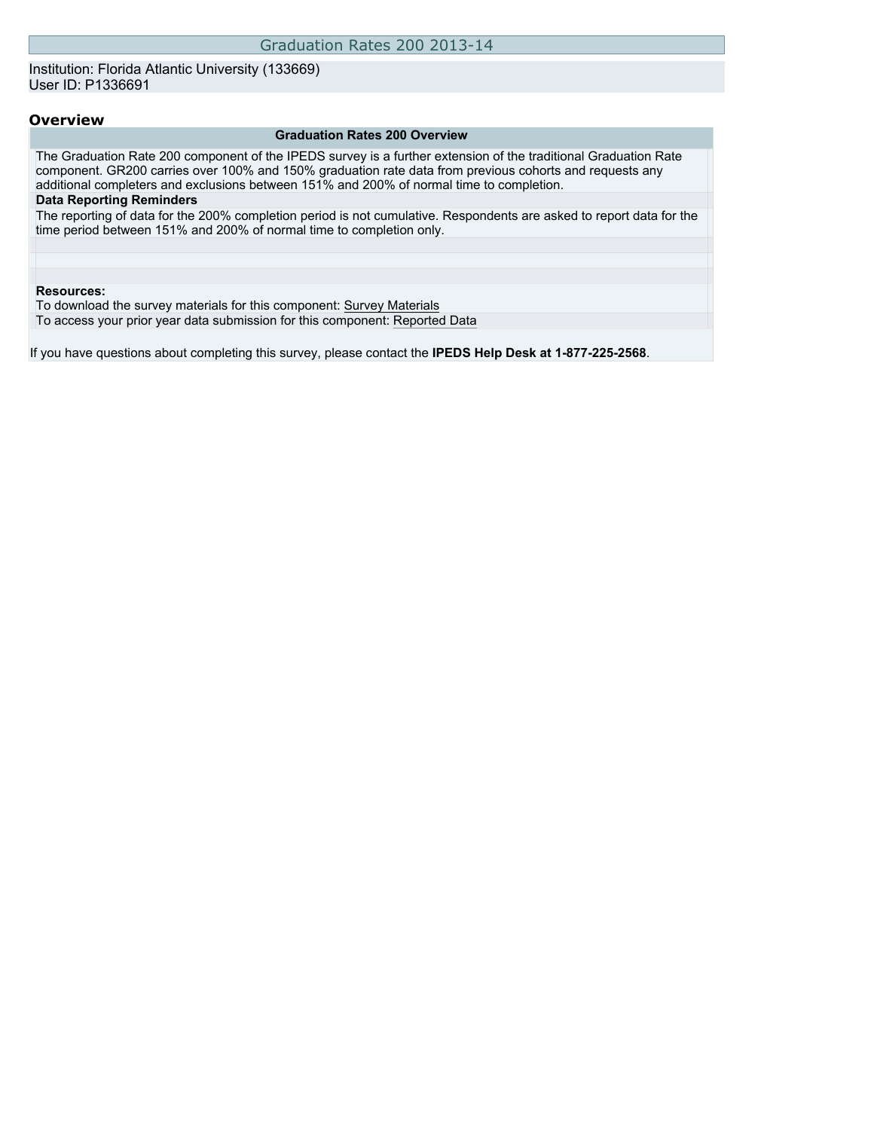Institution: Florida Atlantic University (133669) User ID: P1336691

### **Overview**

#### **Graduation Rates 200 Overview**

The Graduation Rate 200 component of the IPEDS survey is a further extension of the traditional Graduation Rate component. GR200 carries over 100% and 150% graduation rate data from previous cohorts and requests any additional completers and exclusions between 151% and 200% of normal time to completion. **Data Reporting Reminders**

The reporting of data for the 200% completion period is not cumulative. Respondents are asked to report data for the time period between 151% and 200% of normal time to completion only.

#### **Resources:**

To download the survey materials for this component: [Survey Materials](https://surveys.nces.ed.gov/ipeds/VisIndex.aspx)

To access your prior year data submission for this component: [Reported Data](https://surveys.nces.ed.gov/IPEDS/PriorYearDataRedirect.aspx?survey_id=2)

If you have questions about completing this survey, please contact the **IPEDS Help Desk at 1-877-225-2568**.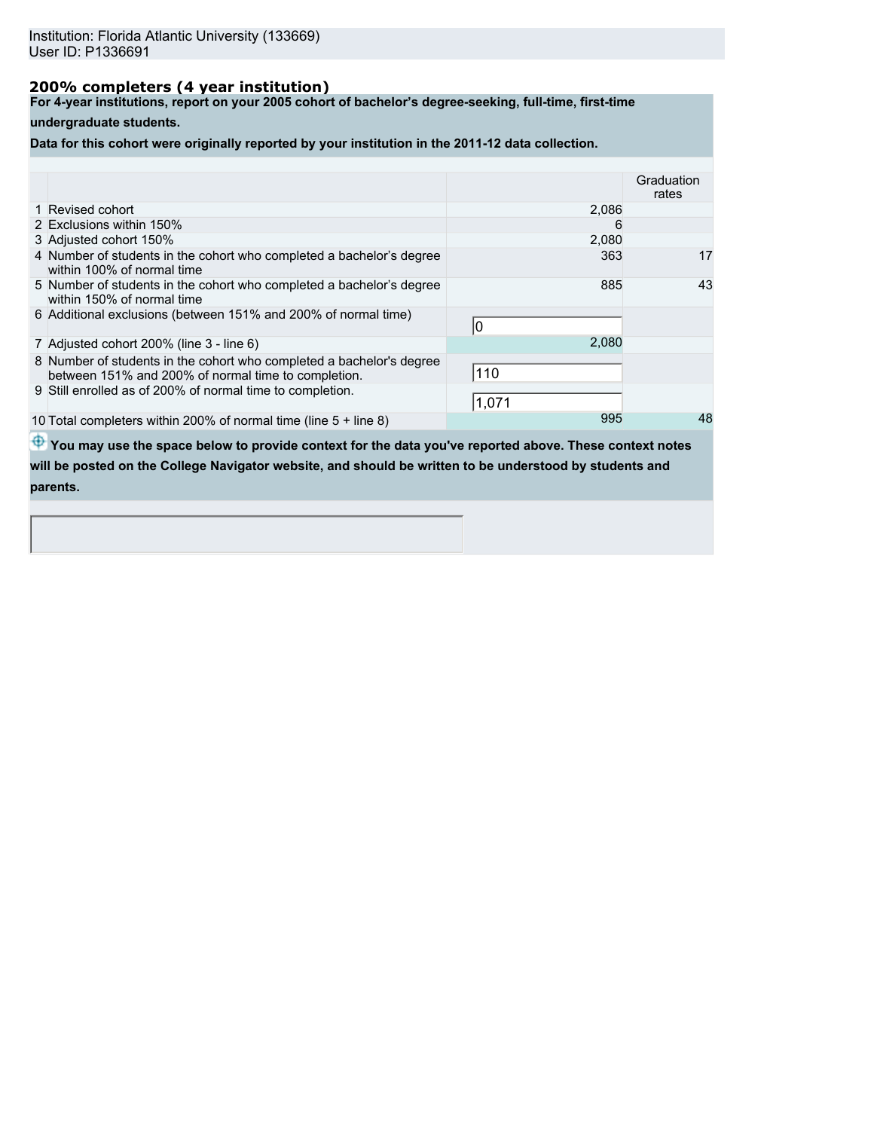# **200% completers (4 year institution)**

**For 4-year institutions, report on your 2005 cohort of bachelor's degree-seeking, full-time, first-time**

## **undergraduate students.**

**Data for this cohort were originally reported by your institution in the 2011-12 data collection.**

|                                                                                                                             |       | Graduation<br>rates |
|-----------------------------------------------------------------------------------------------------------------------------|-------|---------------------|
| 1 Revised cohort                                                                                                            | 2,086 |                     |
| 2 Exclusions within 150%                                                                                                    | 6     |                     |
| 3 Adjusted cohort 150%                                                                                                      | 2,080 |                     |
| 4 Number of students in the cohort who completed a bachelor's degree<br>within 100% of normal time                          | 363   | 17                  |
| 5 Number of students in the cohort who completed a bachelor's degree<br>within 150% of normal time                          | 885   | 43                  |
| 6 Additional exclusions (between 151% and 200% of normal time)                                                              |       |                     |
| 7 Adjusted cohort 200% (line 3 - line 6)                                                                                    | 2,080 |                     |
| 8 Number of students in the cohort who completed a bachelor's degree<br>between 151% and 200% of normal time to completion. | 110   |                     |
| 9 Still enrolled as of 200% of normal time to completion.                                                                   | 1,071 |                     |
| 10 Total completers within 200% of normal time (line $5 +$ line 8)                                                          | 995   | 48                  |
|                                                                                                                             |       |                     |

 $\bigoplus$  **You may use the space below to provide context for the data you've reported above. These context notes** 

**will be posted on the College Navigator website, and should be written to be understood by students and parents.**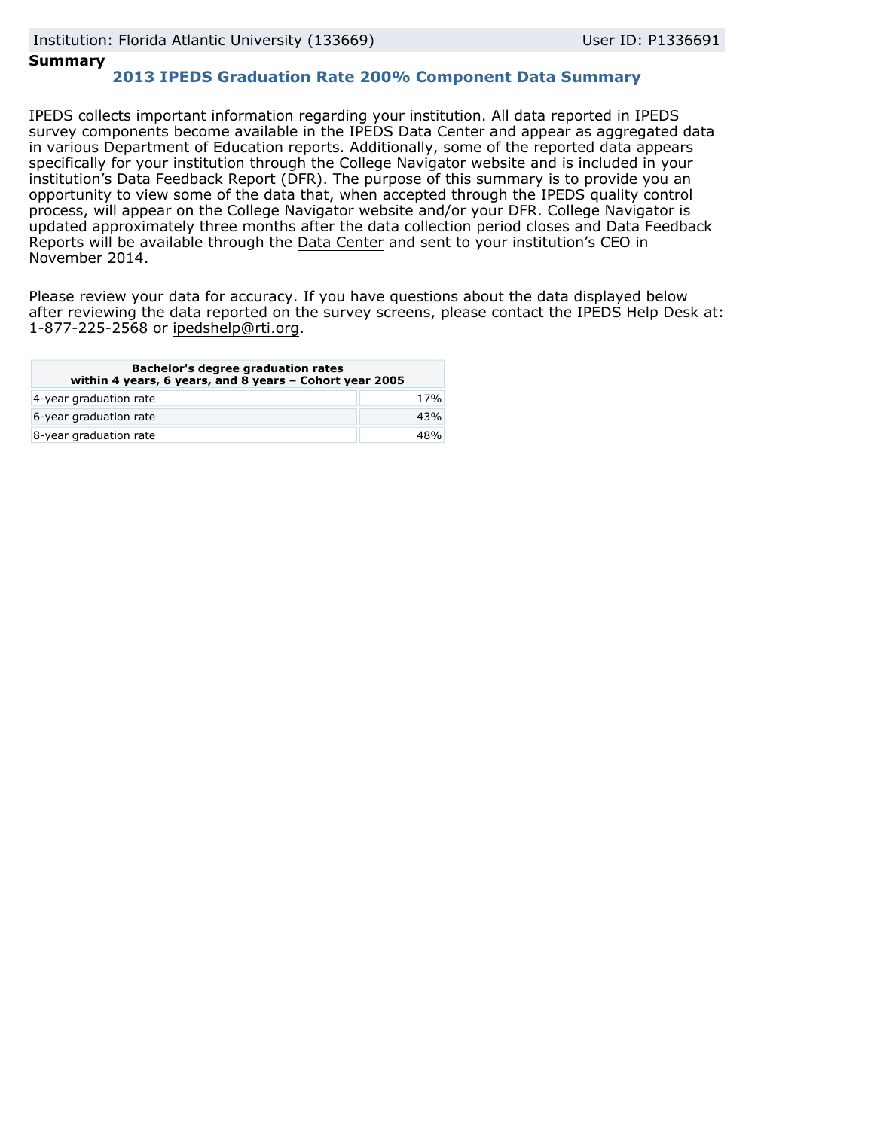## **Summary**

# **2013 IPEDS Graduation Rate 200% Component Data Summary**

IPEDS collects important information regarding your institution. All data reported in IPEDS survey components become available in the IPEDS Data Center and appear as aggregated data in various Department of Education reports. Additionally, some of the reported data appears specifically for your institution through the College Navigator website and is included in your institution's Data Feedback Report (DFR). The purpose of this summary is to provide you an opportunity to view some of the data that, when accepted through the IPEDS quality control process, will appear on the College Navigator website and/or your DFR. College Navigator is updated approximately three months after the data collection period closes and Data Feedback Reports will be available through the [Data Center](http://nces.ed.gov/ipeds/datacenter/) and sent to your institution's CEO in November 2014.

Please review your data for accuracy. If you have questions about the data displayed below after reviewing the data reported on the survey screens, please contact the IPEDS Help Desk at: 1-877-225-2568 or ipedshelp@rti.org.

| <b>Bachelor's degree graduation rates</b><br>within 4 years, 6 years, and 8 years - Cohort year 2005 |     |  |
|------------------------------------------------------------------------------------------------------|-----|--|
| 4-year graduation rate                                                                               | 17% |  |
| 6-year graduation rate                                                                               | 43% |  |
| 8-year graduation rate                                                                               | 48% |  |